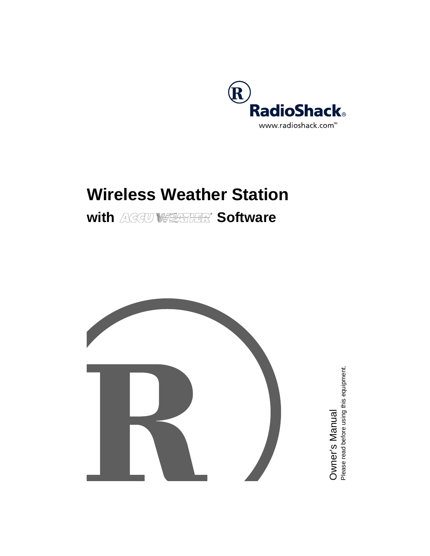

# **Wireless Weather Station**

# with AGGU **WEATHER** Software



Owner's Manual<br><sup>Please read before using this equipment.</sup> Please read before using this equipment. Owner's Manual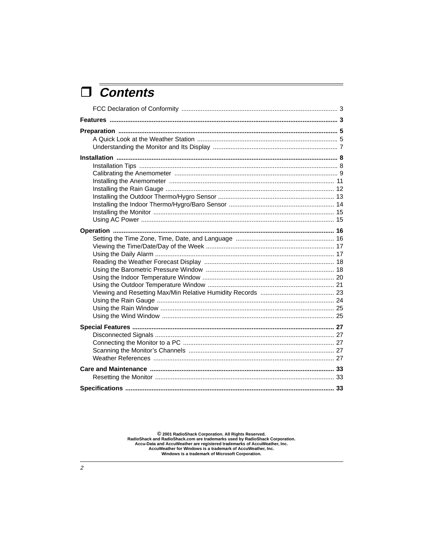# $\Box$  Contents

© 2001 RadioShack Corporation. All Rights Reserved.<br>RadioShack and RadioShack.com are trademarks used by RadioShack Corporation.<br>Accu-Data and AccuWeather are registered trademarks of AccuWeather, Inc.<br>AccuWeather for Win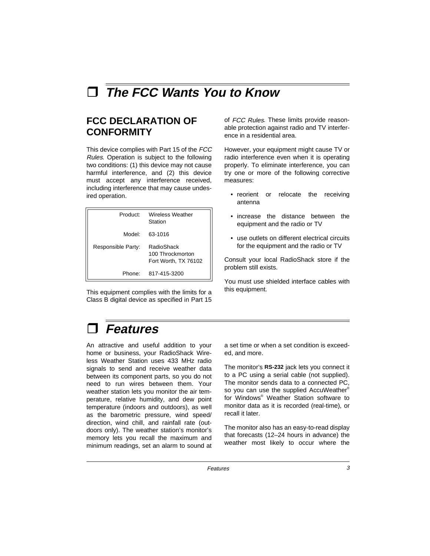# à **The FCC Wants You to Know**

# **FCC DECLARATION OF CONFORMITY**

This device complies with Part 15 of the FCC Rules. Operation is subject to the following two conditions: (1) this device may not cause harmful interference, and (2) this device must accept any interference received, including interference that may cause undesired operation.

| Product:           | Wireless Weather<br>Station                            |
|--------------------|--------------------------------------------------------|
| Model:             | 63-1016                                                |
| Responsible Party: | RadioShack<br>100 Throckmorton<br>Fort Worth, TX 76102 |
| Phone:             | 817-415-3200                                           |

This equipment complies with the limits for a Class B digital device as specified in Part 15 of FCC Rules. These limits provide reasonable protection against radio and TV interference in a residential area.

However, your equipment might cause TV or radio interference even when it is operating properly. To eliminate interference, you can try one or more of the following corrective measures:

- reorient or relocate the receiving antenna
- increase the distance between the equipment and the radio or TV
- use outlets on different electrical circuits for the equipment and the radio or TV

Consult your local RadioShack store if the problem still exists.

You must use shielded interface cables with this equipment.

# à **Features**

An attractive and useful addition to your home or business, your RadioShack Wireless Weather Station uses 433 MHz radio signals to send and receive weather data between its component parts, so you do not need to run wires between them. Your weather station lets you monitor the air temperature, relative humidity, and dew point temperature (indoors and outdoors), as well as the barometric pressure, wind speed/ direction, wind chill, and rainfall rate (outdoors only). The weather station's monitor's memory lets you recall the maximum and minimum readings, set an alarm to sound at a set time or when a set condition is exceeded, and more.

The monitor's **RS-232** jack lets you connect it to a PC using a serial cable (not supplied). The monitor sends data to a connected PC, so you can use the supplied AccuWeather® for Windows® Weather Station software to monitor data as it is recorded (real-time), or recall it later.

The monitor also has an easy-to-read display that forecasts (12–24 hours in advance) the weather most likely to occur where the

Features 3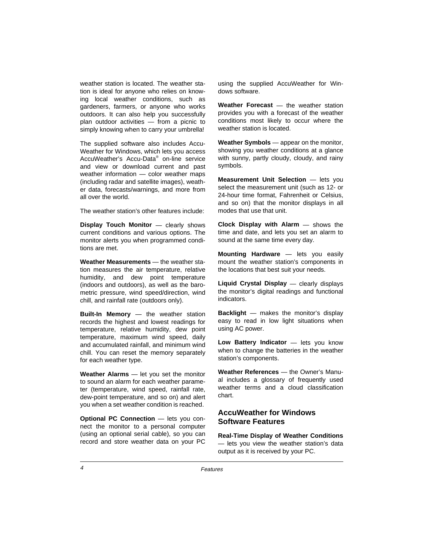weather station is located. The weather station is ideal for anyone who relies on knowing local weather conditions, such as gardeners, farmers, or anyone who works outdoors. It can also help you successfully plan outdoor activities — from a picnic to simply knowing when to carry your umbrella!

The supplied software also includes Accu-Weather for Windows, which lets you access AccuWeather's Accu-Data® on-line service and view or download current and past weather information — color weather maps (including radar and satellite images), weather data, forecasts/warnings, and more from all over the world.

The weather station's other features include:

**Display Touch Monitor** — clearly shows current conditions and various options. The monitor alerts you when programmed conditions are met.

**Weather Measurements** — the weather station measures the air temperature, relative humidity, and dew point temperature (indoors and outdoors), as well as the barometric pressure, wind speed/direction, wind chill, and rainfall rate (outdoors only).

**Built-In Memory** — the weather station records the highest and lowest readings for temperature, relative humidity, dew point temperature, maximum wind speed, daily and accumulated rainfall, and minimum wind chill. You can reset the memory separately for each weather type.

**Weather Alarms** — let you set the monitor to sound an alarm for each weather parameter (temperature, wind speed, rainfall rate, dew-point temperature, and so on) and alert you when a set weather condition is reached.

**Optional PC Connection** — lets you connect the monitor to a personal computer (using an optional serial cable), so you can record and store weather data on your PC

using the supplied AccuWeather for Windows software.

**Weather Forecast** — the weather station provides you with a forecast of the weather conditions most likely to occur where the weather station is located.

**Weather Symbols** — appear on the monitor, showing you weather conditions at a glance with sunny, partly cloudy, cloudy, and rainy symbols.

**Measurement Unit Selection** — lets you select the measurement unit (such as 12- or 24-hour time format, Fahrenheit or Celsius, and so on) that the monitor displays in all modes that use that unit.

**Clock Display with Alarm** — shows the time and date, and lets you set an alarm to sound at the same time every day.

**Mounting Hardware** — lets you easily mount the weather station's components in the locations that best suit your needs.

**Liquid Crystal Display** — clearly displays the monitor's digital readings and functional indicators.

**Backlight** — makes the monitor's display easy to read in low light situations when using AC power.

**Low Battery Indicator** — lets you know when to change the batteries in the weather station's components.

**Weather References** — the Owner's Manual includes a glossary of frequently used weather terms and a cloud classification chart.

### **AccuWeather for Windows Software Features**

**Real-Time Display of Weather Conditions** — lets you view the weather station's data output as it is received by your PC.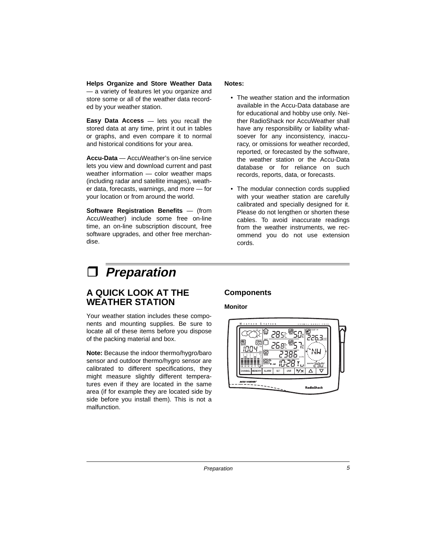**Helps Organize and Store Weather Data** — a variety of features let you organize and store some or all of the weather data recorded by your weather station.

**Easy Data Access** — lets you recall the stored data at any time, print it out in tables or graphs, and even compare it to normal and historical conditions for your area.

**Accu-Data** — AccuWeather's on-line service lets you view and download current and past weather information — color weather maps (including radar and satellite images), weather data, forecasts, warnings, and more — for your location or from around the world.

**Software Registration Benefits** — (from AccuWeather) include some free on-line time, an on-line subscription discount, free software upgrades, and other free merchandise.

#### **Notes:**

- The weather station and the information available in the Accu-Data database are for educational and hobby use only. Neither RadioShack nor AccuWeather shall have any responsibility or liability whatsoever for any inconsistency, inaccuracy, or omissions for weather recorded, reported, or forecasted by the software, the weather station or the Accu-Data database or for reliance on such records, reports, data, or forecasts.
- The modular connection cords supplied with your weather station are carefully calibrated and specially designed for it. Please do not lengthen or shorten these cables. To avoid inaccurate readings from the weather instruments, we recommend you do not use extension cords.

# à **Preparation**

# **A QUICK LOOK AT THE WEATHER STATION**

Your weather station includes these components and mounting supplies. Be sure to locate all of these items before you dispose of the packing material and box.

**Note:** Because the indoor thermo/hygro/baro sensor and outdoor thermo/hygro sensor are calibrated to different specifications, they might measure slightly different temperatures even if they are located in the same area (if for example they are located side by side before you install them). This is not a malfunction.

## **Components**

**Monitor**



Preparation 5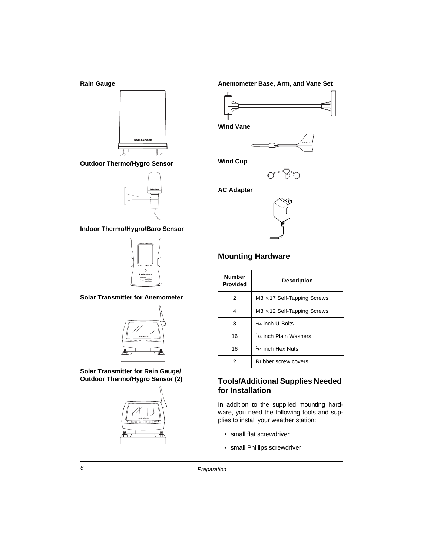

**Outdoor Thermo/Hygro Sensor**



**Indoor Thermo/Hygro/Baro Sensor**



**Solar Transmitter for Anemometer**



**Solar Transmitter for Rain Gauge/ Outdoor Thermo/Hygro Sensor (2)**



**Anemometer Base, Arm, and Vane Set** 



**Wind Vane**



**Wind Cup**



**AC Adapter**



## **Mounting Hardware**

| <b>Number</b><br><b>Provided</b> | <b>Description</b>                             |
|----------------------------------|------------------------------------------------|
| 2                                | $M3 \times 17$ Self-Tapping Screws             |
| 4                                | $M3 \times 12$ Self-Tapping Screws             |
| 8                                | <sup>1</sup> /4 inch U-Bolts                   |
| 16                               | <sup>1</sup> / <sub>4</sub> inch Plain Washers |
| 16                               | $1/4$ inch Hex Nuts                            |
|                                  | Rubber screw covers                            |

#### **Tools/Additional Supplies Needed for Installation**

In addition to the supplied mounting hardware, you need the following tools and supplies to install your weather station:

- small flat screwdriver
- small Phillips screwdriver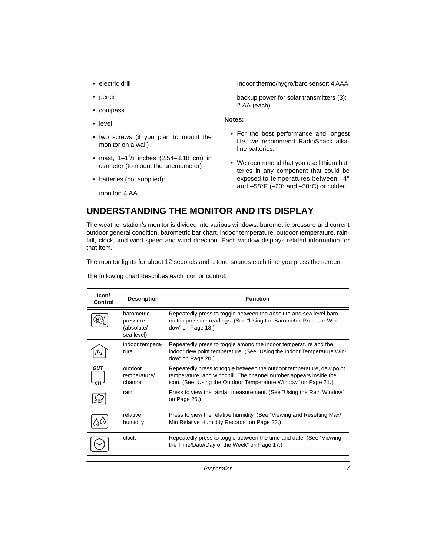- electric drill
- pencil
- compass
- level
- two screws (if you plan to mount the monitor on a wall)
- mast,  $1 1^{1/4}$  inches (2.54–3.18 cm) in diameter (to mount the anemometer)
- batteries (not supplied):

monitor: 4 AA

Indoor thermo/hygro/baro sensor: 4 AAA

backup power for solar transmitters (3): 2 AA (each)

#### **Notes:**

- For the best performance and longest life, we recommend RadioShack alkaline batteries.
- We recommend that you use lithium batteries in any component that could be exposed to temperatures between –4° and –58°F (–20° and –50°C) or colder.

# **UNDERSTANDING THE MONITOR AND ITS DISPLAY**

The weather station's monitor is divided into various windows: barometric pressure and current outdoor general condition, barometric bar chart, indoor temperature, outdoor temperature, rainfall, clock, and wind speed and wind direction. Each window displays related information for that item.

The monitor lights for about 12 seconds and a tone sounds each time you press the screen.

The following chart describes each icon or control.

| lcon/<br>Control  | <b>Description</b>                                        | <b>Function</b>                                                                                                                                                                                              |
|-------------------|-----------------------------------------------------------|--------------------------------------------------------------------------------------------------------------------------------------------------------------------------------------------------------------|
|                   | <b>harometric</b><br>pressure<br>(absolute/<br>sea level) | Repeatedly press to toggle between the absolute and sea level baro-<br>metric pressure readings. (See "Using the Barometric Pressure Win-<br>dow" on Page 18.)                                               |
|                   | indoor tempera-<br>ture                                   | Repeatedly press to toggle among the indoor temperature and the<br>indoor dew point temperature. (See "Using the Indoor Temperature Win-<br>dow" on Page 20.)                                                |
| <b>OUT</b><br>CH. | outdoor<br>temperature/<br>channel                        | Repeatedly press to toggle between the outdoor temperature, dew point<br>temperature, and windchill. The channel number appears inside the<br>icon. (See "Using the Outdoor Temperature Window" on Page 21.) |
|                   | rain                                                      | Press to view the rainfall measurement. (See "Using the Rain Window"<br>on Page 25.)                                                                                                                         |
|                   | relative<br>humidity                                      | Press to view the relative humidity. (See "Viewing and Resetting Max/<br>Min Relative Humidity Records" on Page 23.)                                                                                         |
|                   | clock                                                     | Repeatedly press to toggle between the time and date. (See "Viewing<br>the Time/Date/Day of the Week" on Page 17.)                                                                                           |

Preparation 7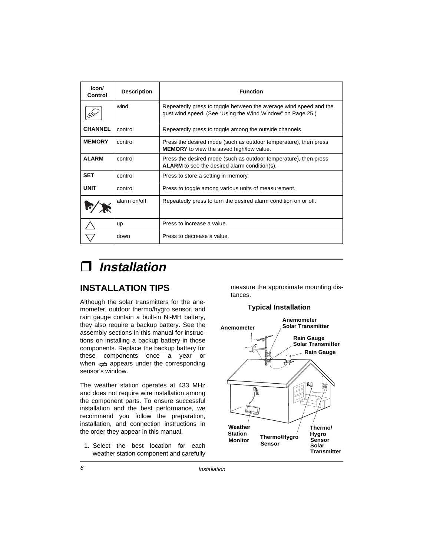| Icon/<br>Control | <b>Description</b> | <b>Function</b>                                                                                                                 |
|------------------|--------------------|---------------------------------------------------------------------------------------------------------------------------------|
|                  | wind               | Repeatedly press to toggle between the average wind speed and the<br>gust wind speed. (See "Using the Wind Window" on Page 25.) |
| <b>CHANNEL</b>   | control            | Repeatedly press to toggle among the outside channels.                                                                          |
| <b>MEMORY</b>    | control            | Press the desired mode (such as outdoor temperature), then press<br><b>MEMORY</b> to view the saved high/low value.             |
| <b>ALARM</b>     | control            | Press the desired mode (such as outdoor temperature), then press<br>ALARM to see the desired alarm condition(s).                |
| <b>SET</b>       | control            | Press to store a setting in memory.                                                                                             |
| <b>UNIT</b>      | control            | Press to toggle among various units of measurement.                                                                             |
|                  | alarm on/off       | Repeatedly press to turn the desired alarm condition on or off.                                                                 |
|                  | <b>up</b>          | Press to increase a value.                                                                                                      |
|                  | down               | Press to decrease a value.                                                                                                      |

# à **Installation**

# **INSTALLATION TIPS**

Although the solar transmitters for the anemometer, outdoor thermo/hygro sensor, and rain gauge contain a built-in Ni-MH battery, they also require a backup battery. See the assembly sections in this manual for instructions on installing a backup battery in those components. Replace the backup battery for these components once a year or when  $\neq$  appears under the corresponding sensor's window.

The weather station operates at 433 MHz and does not require wire installation among the component parts. To ensure successful installation and the best performance, we recommend you follow the preparation, installation, and connection instructions in the order they appear in this manual.

1. Select the best location for each weather station component and carefully measure the approximate mounting distances.

## **Typical Installation**

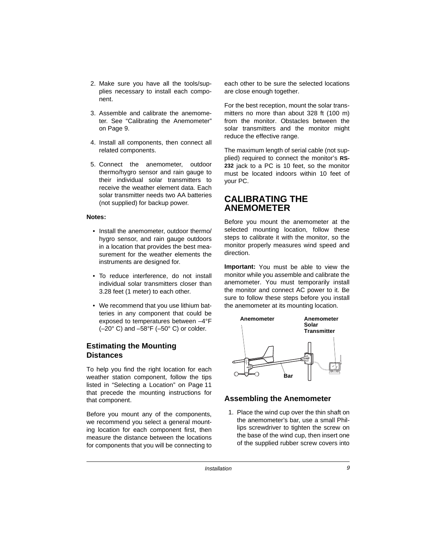- 2. Make sure you have all the tools/supplies necessary to install each component.
- 3. Assemble and calibrate the anemometer. See "Calibrating the Anemometer" on Page 9.
- 4. Install all components, then connect all related components.
- 5. Connect the anemometer, outdoor thermo/hygro sensor and rain gauge to their individual solar transmitters to receive the weather element data. Each solar transmitter needs two AA batteries (not supplied) for backup power.

#### **Notes:**

- Install the anemometer, outdoor thermo/ hygro sensor, and rain gauge outdoors in a location that provides the best measurement for the weather elements the instruments are designed for.
- To reduce interference, do not install individual solar transmitters closer than 3.28 feet (1 meter) to each other.
- We recommend that you use lithium batteries in any component that could be exposed to temperatures between –4°F  $(-20^{\circ}$  C) and  $-58^{\circ}$ F ( $-50^{\circ}$  C) or colder.

#### **Estimating the Mounting Distances**

To help you find the right location for each weather station component, follow the tips listed in "Selecting a Location" on Page 11 that precede the mounting instructions for that component.

Before you mount any of the components, we recommend you select a general mounting location for each component first, then measure the distance between the locations for components that you will be connecting to

each other to be sure the selected locations are close enough together.

For the best reception, mount the solar transmitters no more than about 328 ft (100 m) from the monitor. Obstacles between the solar transmitters and the monitor might reduce the effective range.

The maximum length of serial cable (not supplied) required to connect the monitor's **RS-232** jack to a PC is 10 feet, so the monitor must be located indoors within 10 feet of your PC.

## **CALIBRATING THE ANEMOMETER**

Before you mount the anemometer at the selected mounting location, follow these steps to calibrate it with the monitor, so the monitor properly measures wind speed and direction.

**Important:** You must be able to view the monitor while you assemble and calibrate the anemometer. You must temporarily install the monitor and connect AC power to it. Be sure to follow these steps before you install the anemometer at its mounting location.



#### **Assembling the Anemometer**

1. Place the wind cup over the thin shaft on the anemometer's bar, use a small Phillips screwdriver to tighten the screw on the base of the wind cup, then insert one of the supplied rubber screw covers into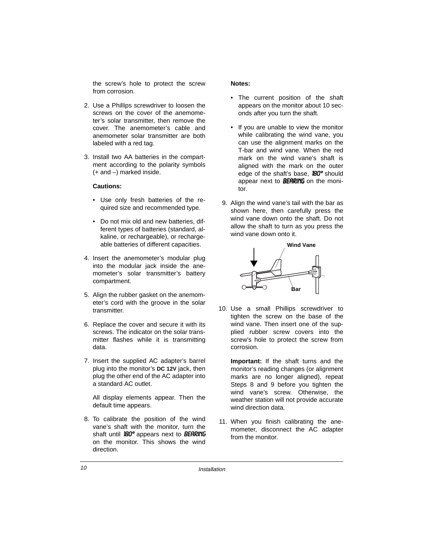the screw's hole to protect the screw from corrosion.

- 2. Use a Phillips screwdriver to loosen the screws on the cover of the anemometer's solar transmitter, then remove the cover. The anemometer's cable and anemometer solar transmitter are both labeled with a red tag.
- 3. Install two AA batteries in the compartment according to the polarity symbols (+ and –) marked inside.

#### **Cautions:**

- Use only fresh batteries of the required size and recommended type.
- Do not mix old and new batteries, different types of batteries (standard, alkaline, or rechargeable), or rechargeable batteries of different capacities.
- 4. Insert the anemometer's modular plug into the modular jack inside the anemometer's solar transmitter's battery compartment.
- 5. Align the rubber gasket on the anemometer's cord with the groove in the solar transmitter.
- 6. Replace the cover and secure it with its screws. The indicator on the solar transmitter flashes while it is transmitting data.
- 7. Insert the supplied AC adapter's barrel plug into the monitor's **DC 12V** jack, then plug the other end of the AC adapter into a standard AC outlet.

All display elements appear. Then the default time appears.

8. To calibrate the position of the wind vane's shaft with the monitor, turn the shaft until 180° appears next to BEARING on the monitor. This shows the wind direction.

#### **Notes:**

- The current position of the shaft appears on the monitor about 10 seconds after you turn the shaft.
- If you are unable to view the monitor while calibrating the wind vane, you can use the alignment marks on the T-bar and wind vane. When the red mark on the wind vane's shaft is aligned with the mark on the outer edge of the shaft's base, **180°** should appear next to **BEARING** on the monitor.
- 9. Align the wind vane's tail with the bar as shown here, then carefully press the wind vane down onto the shaft. Do not allow the shaft to turn as you press the wind vane down onto it.



10. Use a small Phillips screwdriver to tighten the screw on the base of the wind vane. Then insert one of the supplied rubber screw covers into the screw's hole to protect the screw from corrosion.

**Important:** If the shaft turns and the monitor's reading changes (or alignment marks are no longer aligned), repeat Steps 8 and 9 before you tighten the wind vane's screw. Otherwise, the weather station will not provide accurate wind direction data.

11. When you finish calibrating the anemometer, disconnect the AC adapter from the monitor.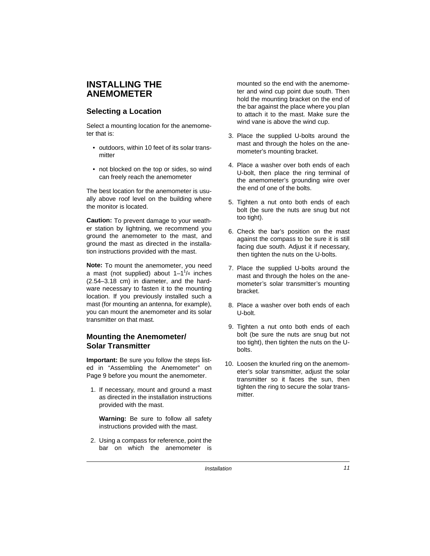# **INSTALLING THE ANEMOMETER**

## **Selecting a Location**

Select a mounting location for the anemometer that is:

- outdoors, within 10 feet of its solar transmitter
- not blocked on the top or sides, so wind can freely reach the anemometer

The best location for the anemometer is usually above roof level on the building where the monitor is located.

**Caution:** To prevent damage to your weather station by lightning, we recommend you ground the anemometer to the mast, and ground the mast as directed in the installation instructions provided with the mast.

**Note:** To mount the anemometer, you need a mast (not supplied) about  $1-1^{1}/4$  inches (2.54–3.18 cm) in diameter, and the hardware necessary to fasten it to the mounting location. If you previously installed such a mast (for mounting an antenna, for example), you can mount the anemometer and its solar transmitter on that mast.

#### **Mounting the Anemometer/ Solar Transmitter**

**Important:** Be sure you follow the steps listed in "Assembling the Anemometer" on Page 9 before you mount the anemometer.

1. If necessary, mount and ground a mast as directed in the installation instructions provided with the mast.

**Warning:** Be sure to follow all safety instructions provided with the mast.

2. Using a compass for reference, point the bar on which the anemometer is mounted so the end with the anemometer and wind cup point due south. Then hold the mounting bracket on the end of the bar against the place where you plan to attach it to the mast. Make sure the wind vane is above the wind cup.

- 3. Place the supplied U-bolts around the mast and through the holes on the anemometer's mounting bracket.
- 4. Place a washer over both ends of each U-bolt, then place the ring terminal of the anemometer's grounding wire over the end of one of the bolts.
- 5. Tighten a nut onto both ends of each bolt (be sure the nuts are snug but not too tight).
- 6. Check the bar's position on the mast against the compass to be sure it is still facing due south. Adjust it if necessary, then tighten the nuts on the U-bolts.
- 7. Place the supplied U-bolts around the mast and through the holes on the anemometer's solar transmitter's mounting bracket.
- 8. Place a washer over both ends of each U-bolt.
- 9. Tighten a nut onto both ends of each bolt (be sure the nuts are snug but not too tight), then tighten the nuts on the Ubolts.
- 10. Loosen the knurled ring on the anemometer's solar transmitter, adjust the solar transmitter so it faces the sun, then tighten the ring to secure the solar transmitter.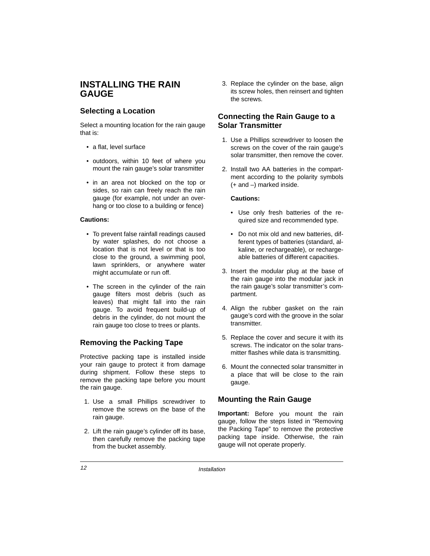# **INSTALLING THE RAIN GAUGE**

## **Selecting a Location**

Select a mounting location for the rain gauge that is:

- a flat, level surface
- outdoors, within 10 feet of where you mount the rain gauge's solar transmitter
- in an area not blocked on the top or sides, so rain can freely reach the rain gauge (for example, not under an overhang or too close to a building or fence)

#### **Cautions:**

- To prevent false rainfall readings caused by water splashes, do not choose a location that is not level or that is too close to the ground, a swimming pool, lawn sprinklers, or anywhere water might accumulate or run off.
- The screen in the cylinder of the rain gauge filters most debris (such as leaves) that might fall into the rain gauge. To avoid frequent build-up of debris in the cylinder, do not mount the rain gauge too close to trees or plants.

#### **Removing the Packing Tape**

Protective packing tape is installed inside your rain gauge to protect it from damage during shipment. Follow these steps to remove the packing tape before you mount the rain gauge.

- 1. Use a small Phillips screwdriver to remove the screws on the base of the rain gauge.
- 2. Lift the rain gauge's cylinder off its base, then carefully remove the packing tape from the bucket assembly.

3. Replace the cylinder on the base, align its screw holes, then reinsert and tighten the screws.

## **Connecting the Rain Gauge to a Solar Transmitter**

- 1. Use a Phillips screwdriver to loosen the screws on the cover of the rain gauge's solar transmitter, then remove the cover.
- 2. Install two AA batteries in the compartment according to the polarity symbols (+ and –) marked inside.

#### **Cautions:**

- Use only fresh batteries of the required size and recommended type.
- Do not mix old and new batteries, different types of batteries (standard, alkaline, or rechargeable), or rechargeable batteries of different capacities.
- 3. Insert the modular plug at the base of the rain gauge into the modular jack in the rain gauge's solar transmitter's compartment.
- 4. Align the rubber gasket on the rain gauge's cord with the groove in the solar transmitter.
- 5. Replace the cover and secure it with its screws. The indicator on the solar transmitter flashes while data is transmitting.
- 6. Mount the connected solar transmitter in a place that will be close to the rain gauge.

#### **Mounting the Rain Gauge**

**Important:** Before you mount the rain gauge, follow the steps listed in "Removing the Packing Tape" to remove the protective packing tape inside. Otherwise, the rain gauge will not operate properly.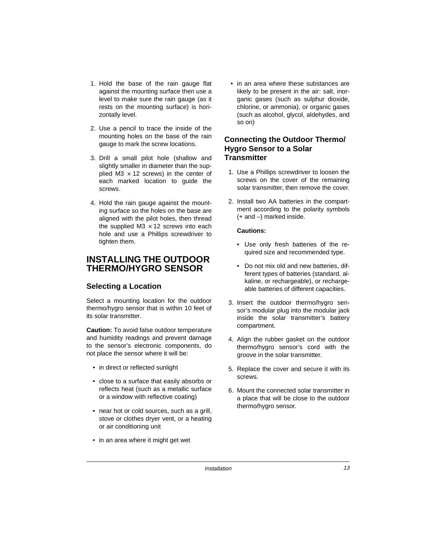- 1. Hold the base of the rain gauge flat against the mounting surface then use a level to make sure the rain gauge (as it rests on the mounting surface) is horizontally level.
- 2. Use a pencil to trace the inside of the mounting holes on the base of the rain gauge to mark the screw locations.
- 3. Drill a small pilot hole (shallow and slightly smaller in diameter than the supplied  $M3 \times 12$  screws) in the center of each marked location to guide the screws.
- 4. Hold the rain gauge against the mounting surface so the holes on the base are aligned with the pilot holes, then thread the supplied M3  $\times$  12 screws into each hole and use a Phillips screwdriver to tighten them.

# **INSTALLING THE OUTDOOR THERMO/HYGRO SENSOR**

#### **Selecting a Location**

Select a mounting location for the outdoor thermo/hygro sensor that is within 10 feet of its solar transmitter.

**Caution:** To avoid false outdoor temperature and humidity readings and prevent damage to the sensor's electronic components, do not place the sensor where it will be:

- in direct or reflected sunlight
- close to a surface that easily absorbs or reflects heat (such as a metallic surface or a window with reflective coating)
- near hot or cold sources, such as a grill, stove or clothes dryer vent, or a heating or air conditioning unit
- in an area where it might get wet

• in an area where these substances are likely to be present in the air: salt, inorganic gases (such as sulphur dioxide, chlorine, or ammonia), or organic gases (such as alcohol, glycol, aldehydes, and so on)

### **Connecting the Outdoor Thermo/ Hygro Sensor to a Solar Transmitter**

- 1. Use a Phillips screwdriver to loosen the screws on the cover of the remaining solar transmitter, then remove the cover.
- 2. Install two AA batteries in the compartment according to the polarity symbols (+ and –) marked inside.

#### **Cautions:**

- Use only fresh batteries of the required size and recommended type.
- Do not mix old and new batteries, different types of batteries (standard, alkaline, or rechargeable), or rechargeable batteries of different capacities.
- 3. Insert the outdoor thermo/hygro sensor's modular plug into the modular jack inside the solar transmitter's battery compartment.
- 4. Align the rubber gasket on the outdoor thermo/hygro sensor's cord with the groove in the solar transmitter.
- 5. Replace the cover and secure it with its screws.
- 6. Mount the connected solar transmitter in a place that will be close to the outdoor thermo/hygro sensor.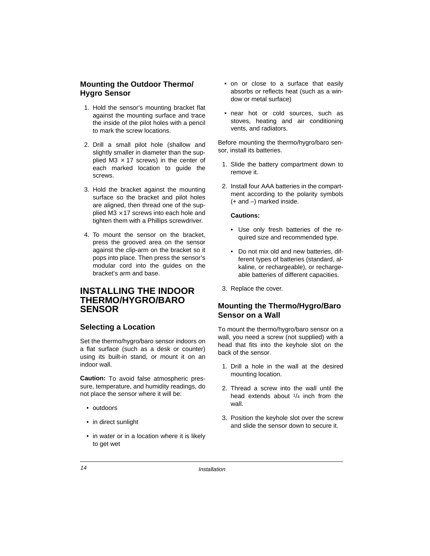### **Mounting the Outdoor Thermo/ Hygro Sensor**

- 1. Hold the sensor's mounting bracket flat against the mounting surface and trace the inside of the pilot holes with a pencil to mark the screw locations.
- 2. Drill a small pilot hole (shallow and slightly smaller in diameter than the supplied M3  $\times$  17 screws) in the center of each marked location to guide the screws.
- 3. Hold the bracket against the mounting surface so the bracket and pilot holes are aligned, then thread one of the supplied  $\overline{M3} \times 17$  screws into each hole and tighten them with a Phillips screwdriver.
- 4. To mount the sensor on the bracket, press the grooved area on the sensor against the clip-arm on the bracket so it pops into place. Then press the sensor's modular cord into the guides on the bracket's arm and base.

## **INSTALLING THE INDOOR THERMO/HYGRO/BARO SENSOR**

#### **Selecting a Location**

Set the thermo/hygro/baro sensor indoors on a flat surface (such as a desk or counter) using its built-in stand, or mount it on an indoor wall.

**Caution:** To avoid false atmospheric pressure, temperature, and humidity readings, do not place the sensor where it will be:

- outdoors
- in direct sunlight
- in water or in a location where it is likely to get wet
- on or close to a surface that easily absorbs or reflects heat (such as a window or metal surface)
- near hot or cold sources, such as stoves, heating and air conditioning vents, and radiators.

Before mounting the thermo/hygro/baro sensor, install its batteries.

- 1. Slide the battery compartment down to remove it.
- 2. Install four AAA batteries in the compartment according to the polarity symbols (+ and –) marked inside.

#### **Cautions:**

- Use only fresh batteries of the required size and recommended type.
- Do not mix old and new batteries, different types of batteries (standard, alkaline, or rechargeable), or rechargeable batteries of different capacities.
- 3. Replace the cover.

#### **Mounting the Thermo/Hygro/Baro Sensor on a Wall**

To mount the thermo/hygro/baro sensor on a wall, you need a screw (not supplied) with a head that fits into the keyhole slot on the back of the sensor.

- 1. Drill a hole in the wall at the desired mounting location.
- 2. Thread a screw into the wall until the head extends about 1/4 inch from the wall.
- 3. Position the keyhole slot over the screw and slide the sensor down to secure it.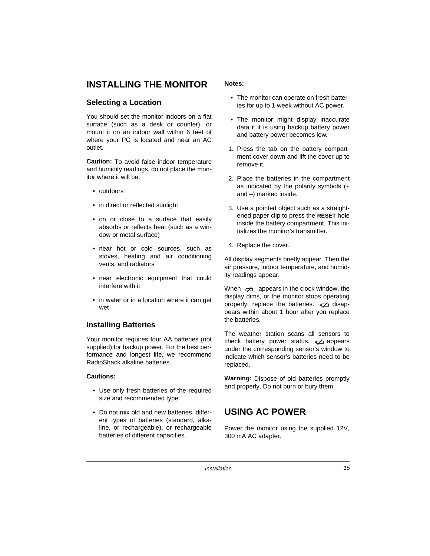# **INSTALLING THE MONITOR**

#### **Selecting a Location**

You should set the monitor indoors on a flat surface (such as a desk or counter), or mount it on an indoor wall within 6 feet of where your PC is located and near an AC outlet.

**Caution:** To avoid false indoor temperature and humidity readings, do not place the monitor where it will be:

- outdoors
- in direct or reflected sunlight
- on or close to a surface that easily absorbs or reflects heat (such as a window or metal surface)
- near hot or cold sources, such as stoves, heating and air conditioning vents, and radiators
- near electronic equipment that could interfere with it
- in water or in a location where it can get wet

#### **Installing Batteries**

Your monitor requires four AA batteries (not supplied) for backup power. For the best performance and longest life, we recommend RadioShack alkaline batteries.

#### **Cautions:**

- Use only fresh batteries of the required size and recommended type.
- Do not mix old and new batteries, different types of batteries (standard, alkaline, or rechargeable), or rechargeable batteries of different capacities.

#### **Notes:**

- The monitor can operate on fresh batteries for up to 1 week without AC power.
- The monitor might display inaccurate data if it is using backup battery power and battery power becomes low.
- 1. Press the tab on the battery compartment cover down and lift the cover up to remove it.
- 2. Place the batteries in the compartment as indicated by the polarity symbols (+ and –) marked inside.
- 3. Use a pointed object such as a straightened paper clip to press the **RESET** hole inside the battery compartment. This initializes the monitor's transmitter.
- 4. Replace the cover.

All display segments briefly appear. Then the air pressure, indoor temperature, and humidity readings appear.

When  $\neq$  appears in the clock window, the display dims, or the monitor stops operating properly, replace the batteries.  $\epsilon \neq 0$  disappears within about 1 hour after you replace the batteries.

The weather station scans all sensors to check battery power status.  $\rightleftarrows$  appears under the corresponding sensor's window to indicate which sensor's batteries need to be replaced.

**Warning:** Dispose of old batteries promptly and properly. Do not burn or bury them.

# **USING AC POWER**

Power the monitor using the supplied 12V, 300 mA AC adapter.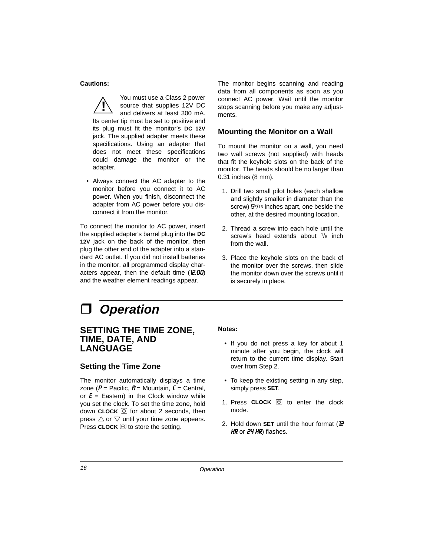#### **Cautions:**

You must use a Class 2 power source that supplies 12V DC and delivers at least 300 mA. Its center tip must be set to positive and its plug must fit the monitor's **DC 12V** jack. The supplied adapter meets these specifications. Using an adapter that does not meet these specifications could damage the monitor or the adapter. **!**

• Always connect the AC adapter to the monitor before you connect it to AC power. When you finish, disconnect the adapter from AC power before you disconnect it from the monitor.

To connect the monitor to AC power, insert the supplied adapter's barrel plug into the **DC 12V** jack on the back of the monitor, then plug the other end of the adapter into a standard AC outlet. If you did not install batteries in the monitor, all programmed display characters appear, then the default time  $(E:00)$ and the weather element readings appear.

The monitor begins scanning and reading data from all components as soon as you connect AC power. Wait until the monitor stops scanning before you make any adjustments.

#### **Mounting the Monitor on a Wall**

To mount the monitor on a wall, you need two wall screws (not supplied) with heads that fit the keyhole slots on the back of the monitor. The heads should be no larger than 0.31 inches (8 mm).

- 1. Drill two small pilot holes (each shallow and slightly smaller in diameter than the screw) 5<sup>9</sup>/16 inches apart, one beside the other, at the desired mounting location.
- 2. Thread a screw into each hole until the screw's head extends about  $1/8$  inch from the wall.
- 3. Place the keyhole slots on the back of the monitor over the screws, then slide the monitor down over the screws until it is securely in place.

# **Operation**

## **SETTING THE TIME ZONE, TIME, DATE, AND LANGUAGE**

#### **Setting the Time Zone**

The monitor automatically displays a time zone ( $P =$  Pacific,  $\boldsymbol{n} =$  Mountain,  $\boldsymbol{L} =$  Central, or  $\boldsymbol{E}$  = Eastern) in the Clock window while you set the clock. To set the time zone, hold down  $CLOCK \circledcirc$  for about 2 seconds, then press  $\triangle$  or  $\nabla$  until your time zone appears. Press **CLOCK**  $\textcircled{}$  to store the setting.

#### **Notes:**

- If you do not press a key for about 1 minute after you begin, the clock will return to the current time display. Start over from Step 2.
- To keep the existing setting in any step, simply press **SET**.
- 1. Press **CLOCK**  $\textcircled{3}$  to enter the clock mode.
- 2. Hold down **SET** until the hour format (I2  $HR$  or  $24$  HR) flashes.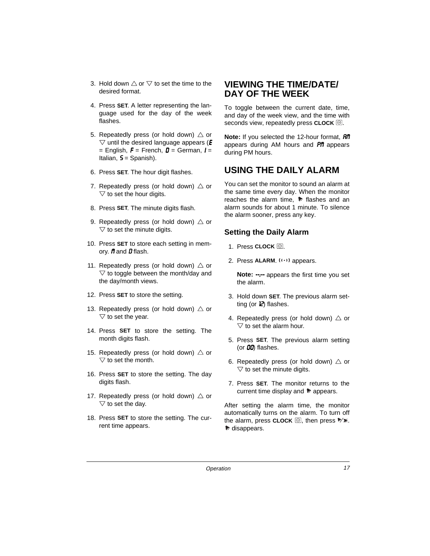- 3. Hold down  $\triangle$  or  $\nabla$  to set the time to the desired format.
- 4. Press **SET**. A letter representing the language used for the day of the week flashes.
- 5. Repeatedly press (or hold down)  $\triangle$  or  $\triangledown$  until the desired language appears ( $\boldsymbol{E}$ = English,  $F$  = French,  $\bm{D}$  = German,  $\bm{l}$  = Italian,  $5 =$  Spanish).
- 6. Press **SET**. The hour digit flashes.
- 7. Repeatedly press (or hold down)  $\triangle$  or  $\triangledown$  to set the hour digits.
- 8. Press **SET**. The minute digits flash.
- 9. Repeatedly press (or hold down)  $\triangle$  or  $\triangledown$  to set the minute digits.
- 10. Press **SET** to store each setting in memory.  $n$  and  $n$  flash.
- 11. Repeatedly press (or hold down)  $\triangle$  or  $\triangledown$  to toggle between the month/day and the day/month views.
- 12. Press **SET** to store the setting.
- 13. Repeatedly press (or hold down)  $\triangle$  or  $\triangledown$  to set the year.
- 14. Press **SET** to store the setting. The month digits flash.
- 15. Repeatedly press (or hold down)  $\triangle$  or  $\triangledown$  to set the month.
- 16. Press **SET** to store the setting. The day digits flash.
- 17. Repeatedly press (or hold down)  $\triangle$  or  $\triangledown$  to set the day.
- 18. Press **SET** to store the setting. The current time appears.

# **VIEWING THE TIME/DATE/ DAY OF THE WEEK**

To toggle between the current date, time, and day of the week view, and the time with seconds view, repeatedly press **CLOCK**  $\textcircled{S}$ .

**Note:** If you selected the 12-hour format, **Rn** appears during AM hours and  $\frac{1}{2}$  appears during PM hours.

# **USING THE DAILY ALARM**

You can set the monitor to sound an alarm at the same time every day. When the monitor reaches the alarm time,  $\bullet$  flashes and an alarm sounds for about 1 minute. To silence the alarm sooner, press any key.

#### **Setting the Daily Alarm**

- 1. Press CLOCK  $\textcircled{\tiny{\textsf{I}}}.$
- 2. Press ALARM. ((\*)) appears.

**Note:** ----- appears the first time you set the alarm.

- 3. Hold down **SET**. The previous alarm setting (or *2) flashes.*
- 4. Repeatedly press (or hold down)  $\triangle$  or  $\triangledown$  to set the alarm hour.
- 5. Press **SET**. The previous alarm setting (or  $00$ ) flashes.
- 6. Repeatedly press (or hold down)  $\triangle$  or  $\triangledown$  to set the minute digits.
- 7. Press **SET**. The monitor returns to the current time display and  $\approx$  appears.

After setting the alarm time, the monitor automatically turns on the alarm. To turn off the alarm, press **CLOCK**  $\textcircled{S}$ , then press  $\forall$ **\***. chiappears.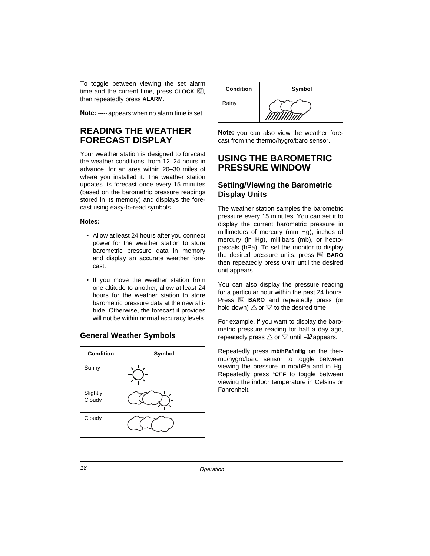To toggle between viewing the set alarm time and the current time, press  $CLOCK$   $\textcircled{3}$ , then repeatedly press **ALARM**.

Note:  $\cdot\cdot\cdot\cdot$  appears when no alarm time is set.

## **READING THE WEATHER FORECAST DISPLAY**

Your weather station is designed to forecast the weather conditions, from 12–24 hours in advance, for an area within 20–30 miles of where you installed it. The weather station updates its forecast once every 15 minutes (based on the barometric pressure readings stored in its memory) and displays the forecast using easy-to-read symbols.

#### **Notes:**

- Allow at least 24 hours after you connect power for the weather station to store barometric pressure data in memory and display an accurate weather forecast.
- If you move the weather station from one altitude to another, allow at least 24 hours for the weather station to store barometric pressure data at the new altitude. Otherwise, the forecast it provides will not be within normal accuracy levels.

#### **General Weather Symbols**

| <b>Condition</b>   | Symbol |
|--------------------|--------|
| Sunny              |        |
| Slightly<br>Cloudy |        |
| Cloudy             |        |



**Note:** you can also view the weather forecast from the thermo/hygro/baro sensor.

## **USING THE BAROMETRIC PRESSURE WINDOW**

#### **Setting/Viewing the Barometric Display Units**

The weather station samples the barometric pressure every 15 minutes. You can set it to display the current barometric pressure in millimeters of mercury (mm Hg), inches of mercury (in Hg), millibars (mb), or hectopascals (hPa). To set the monitor to display the desired pressure units, press **BARO** then repeatedly press **UNIT** until the desired unit appears.

You can also display the pressure reading for a particular hour within the past 24 hours. Press **BARO** and repeatedly press (or hold down)  $\triangle$  or  $\nabla$  to the desired time.

For example, if you want to display the barometric pressure reading for half a day ago, repeatedly press  $\triangle$  or  $\nabla$  until -**I***Z* appears.

Repeatedly press **mb/hPa/inHg** on the thermo/hygro/baro sensor to toggle between viewing the pressure in mb/hPa and in Hg. Repeatedly press **°C/°F** to toggle between viewing the indoor temperature in Celsius or Fahrenheit.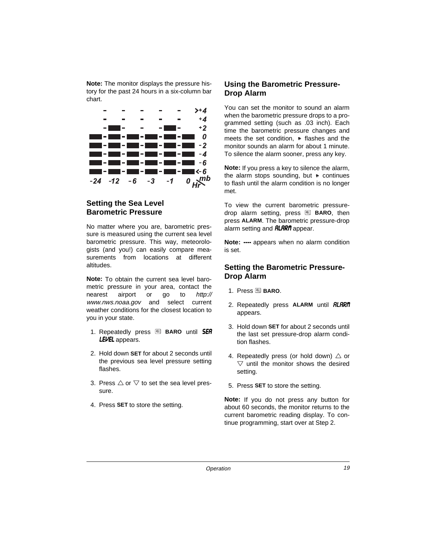**Note:** The monitor displays the pressure history for the past 24 hours in a six-column bar chart.



## **Setting the Sea Level Barometric Pressure**

No matter where you are, barometric pressure is measured using the current sea level barometric pressure. This way, meteorologists (and you!) can easily compare measurements from locations at different altitudes.

**Note:** To obtain the current sea level barometric pressure in your area, contact the nearest airport or go to http:// www.nws.noaa.gov and select current weather conditions for the closest location to you in your state.

- 1. Repeatedly press **B** BARO until **5ER** LEVEL appears.
- 2. Hold down **SET** for about 2 seconds until the previous sea level pressure setting flashes.
- 3. Press  $\triangle$  or  $\nabla$  to set the sea level pressure.
- 4. Press **SET** to store the setting.

### **Using the Barometric Pressure-Drop Alarm**

You can set the monitor to sound an alarm when the barometric pressure drops to a programmed setting (such as .03 inch). Each time the barometric pressure changes and meets the set condition,  $\ast$  flashes and the monitor sounds an alarm for about 1 minute. To silence the alarm sooner, press any key.

**Note:** If you press a key to silence the alarm, the alarm stops sounding, but  $\ast$  continues to flash until the alarm condition is no longer met.

To view the current barometric pressuredrop alarm setting, press **BARO**, then press **ALARM**. The barometric pressure-drop alarm setting and **RLRRIT** appear.

**Note:** ---- appears when no alarm condition is set.

#### **Setting the Barometric Pressure-Drop Alarm**

- 1. Press **BARO**.
- 2. Repeatedly press **ALARM** until **RLARM** appears.
- 3. Hold down **SET** for about 2 seconds until the last set pressure-drop alarm condition flashes.
- 4. Repeatedly press (or hold down)  $\triangle$  or  $\triangledown$  until the monitor shows the desired setting.
- 5. Press **SET** to store the setting.

**Note:** If you do not press any button for about 60 seconds, the monitor returns to the current barometric reading display. To continue programming, start over at Step 2.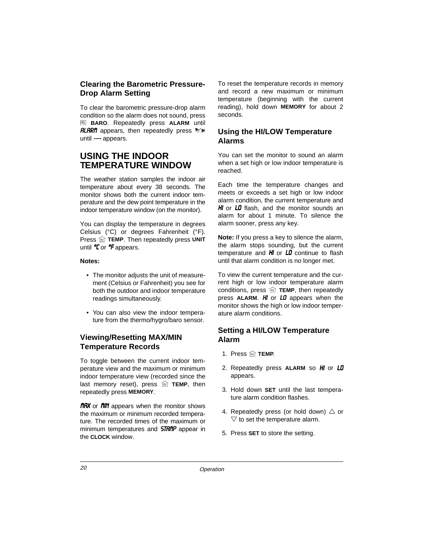### **Clearing the Barometric Pressure-Drop Alarm Setting**

To clear the barometric pressure-drop alarm condition so the alarm does not sound, press  **BARO**. Repeatedly press **ALARM** until **RLARM** appears, then repeatedly press  $\mathbb{R}$ <sup>\*</sup> until ---- appears.

# **USING THE INDOOR TEMPERATURE WINDOW**

The weather station samples the indoor air temperature about every 38 seconds. The monitor shows both the current indoor temperature and the dew point temperature in the indoor temperature window (on the monitor).

You can display the temperature in degrees Celsius (°C) or degrees Fahrenheit (°F). Press  $\widehat{m}$  TEMP. Then repeatedly press UNIT until  $C$  or  $C$  appears.

#### **Notes:**

- The monitor adjusts the unit of measurement (Celsius or Fahrenheit) you see for both the outdoor and indoor temperature readings simultaneously.
- You can also view the indoor temperature from the thermo/hygro/baro sensor.

## **Viewing/Resetting MAX/MIN Temperature Records**

To toggle between the current indoor temperature view and the maximum or minimum indoor temperature view (recorded since the last memory reset), press  $\widehat{m}$  **TEMP**, then repeatedly press **MEMORY**.

**nRX** or **nIN** appears when the monitor shows the maximum or minimum recorded temperature. The recorded times of the maximum or minimum temperatures and **STRMP** appear in the **CLOCK** window.

To reset the temperature records in memory and record a new maximum or minimum temperature (beginning with the current reading), hold down **MEMORY** for about 2 seconds.

#### **Using the HI/LOW Temperature Alarms**

You can set the monitor to sound an alarm when a set high or low indoor temperature is reached.

Each time the temperature changes and meets or exceeds a set high or low indoor alarm condition, the current temperature and  $H$  or  $LI$  flash, and the monitor sounds an alarm for about 1 minute. To silence the alarm sooner, press any key.

**Note:** If you press a key to silence the alarm, the alarm stops sounding, but the current temperature and  $H$  or  $L\bar{U}$  continue to flash until that alarm condition is no longer met.

To view the current temperature and the current high or low indoor temperature alarm conditions, press  $\widehat{m}$  TEMP, then repeatedly press **ALARM.** HI or LO appears when the monitor shows the high or low indoor temperature alarm conditions.

## **Setting a HI/LOW Temperature Alarm**

- 1. Press  $\widehat{m}$  **TEMP.**
- 2. Repeatedly press ALARM so H or LO appears.
- 3. Hold down **SET** until the last temperature alarm condition flashes.
- 4. Repeatedly press (or hold down)  $\triangle$  or  $\triangledown$  to set the temperature alarm.
- 5. Press **SET** to store the setting.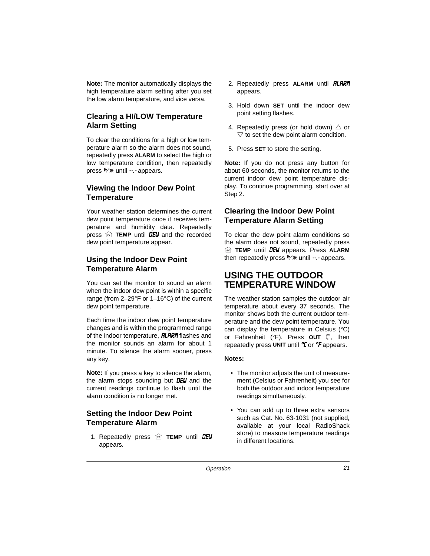**Note:** The monitor automatically displays the high temperature alarm setting after you set the low alarm temperature, and vice versa.

## **Clearing a HI/LOW Temperature Alarm Setting**

To clear the conditions for a high or low temperature alarm so the alarm does not sound, repeatedly press **ALARM** to select the high or low temperature condition, then repeatedly press  $\mathbb{R} \times$  until --- appears.

## **Viewing the Indoor Dew Point Temperature**

Your weather station determines the current dew point temperature once it receives temperature and humidity data. Repeatedly press  $\widehat{\mathbb{M}}$  TEMP until **DEU** and the recorded dew point temperature appear.

## **Using the Indoor Dew Point Temperature Alarm**

You can set the monitor to sound an alarm when the indoor dew point is within a specific range (from 2–29°F or 1–16°C) of the current dew point temperature.

Each time the indoor dew point temperature changes and is within the programmed range of the indoor temperature,  $\theta$ *LARM* flashes and the monitor sounds an alarm for about 1 minute. To silence the alarm sooner, press any key.

**Note:** If you press a key to silence the alarm, the alarm stops sounding but  $DEU$  and the current readings continue to flash until the alarm condition is no longer met.

## **Setting the Indoor Dew Point Temperature Alarm**

1. Repeatedly press **in TEMP** until **DEU** appears.

- 2. Repeatedly press **ALARM** until **RLARM** appears.
- 3. Hold down **SET** until the indoor dew point setting flashes.
- 4. Repeatedly press (or hold down)  $\triangle$  or  $\triangledown$  to set the dew point alarm condition.
- 5. Press **SET** to store the setting.

**Note:** If you do not press any button for about 60 seconds, the monitor returns to the current indoor dew point temperature display. To continue programming, start over at Step 2.

## **Clearing the Indoor Dew Point Temperature Alarm Setting**

To clear the dew point alarm conditions so the alarm does not sound, repeatedly press *M* TEMP until **DEU** appears. Press **ALARM** then repeatedly press  $\mathbb{W}\times$  until  $\div$  appears.

# **USING THE OUTDOOR TEMPERATURE WINDOW**

The weather station samples the outdoor air temperature about every 37 seconds. The monitor shows both the current outdoor temperature and the dew point temperature. You can display the temperature in Celsius (°C) or Fahrenheit (°F). Press **OUT** , then repeatedly press UNIT until *C* or *F* appears.

#### **Notes:**

- The monitor adjusts the unit of measurement (Celsius or Fahrenheit) you see for both the outdoor and indoor temperature readings simultaneously.
- You can add up to three extra sensors such as Cat. No. 63-1031 (not supplied, available at your local RadioShack store) to measure temperature readings in different locations.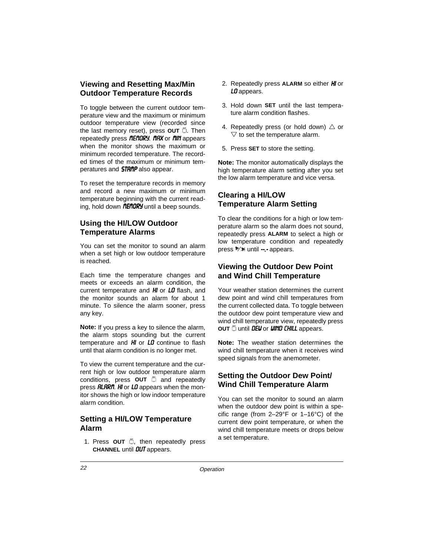## **Viewing and Resetting Max/Min Outdoor Temperature Records**

To toggle between the current outdoor temperature view and the maximum or minimum outdoor temperature view (recorded since the last memory reset), press OUT . Then repeatedly press *fIENORY*. *FIRX* or *fIIN* appears when the monitor shows the maximum or minimum recorded temperature. The recorded times of the maximum or minimum temperatures and **5TRMP** also appear.

To reset the temperature records in memory and record a new maximum or minimum temperature beginning with the current reading, hold down *fIEfIORY* until a beep sounds.

#### **Using the HI/LOW Outdoor Temperature Alarms**

You can set the monitor to sound an alarm when a set high or low outdoor temperature is reached.

Each time the temperature changes and meets or exceeds an alarm condition, the current temperature and  $H$  or  $LI$  flash, and the monitor sounds an alarm for about 1 minute. To silence the alarm sooner, press any key.

**Note:** If you press a key to silence the alarm, the alarm stops sounding but the current temperature and  $H$  or  $LI$  continue to flash until that alarm condition is no longer met.

To view the current temperature and the current high or low outdoor temperature alarm conditions, press **OUT**  $\ddot{\odot}$  and repeatedly press  $\theta$ *RRM.* H<sub>i</sub> or LO appears when the monitor shows the high or low indoor temperature alarm condition.

#### **Setting a HI/LOW Temperature Alarm**

1. Press **OUT** ... then repeatedly press **CHANNEL** until **DUT** appears.

- 2. Repeatedly press **ALARM** so either *HI* or LD appears.
- 3. Hold down **SET** until the last temperature alarm condition flashes.
- 4. Repeatedly press (or hold down)  $\triangle$  or  $\triangledown$  to set the temperature alarm.
- 5. Press **SET** to store the setting.

**Note:** The monitor automatically displays the high temperature alarm setting after you set the low alarm temperature and vice versa.

## **Clearing a HI/LOW Temperature Alarm Setting**

To clear the conditions for a high or low temperature alarm so the alarm does not sound, repeatedly press **ALARM** to select a high or low temperature condition and repeatedly press  $\mathbb{R} \times$  until  $\cdots$  appears.

### **Viewing the Outdoor Dew Point and Wind Chill Temperature**

Your weather station determines the current dew point and wind chill temperatures from the current collected data. To toggle between the outdoor dew point temperature view and wind chill temperature view, repeatedly press **OUT**  $\tilde{=}$  until **DEU** or **UIND CHILL** appears.

**Note:** The weather station determines the wind chill temperature when it receives wind speed signals from the anemometer.

## **Setting the Outdoor Dew Point/ Wind Chill Temperature Alarm**

You can set the monitor to sound an alarm when the outdoor dew point is within a specific range (from 2–29°F or 1–16°C) of the current dew point temperature, or when the wind chill temperature meets or drops below a set temperature.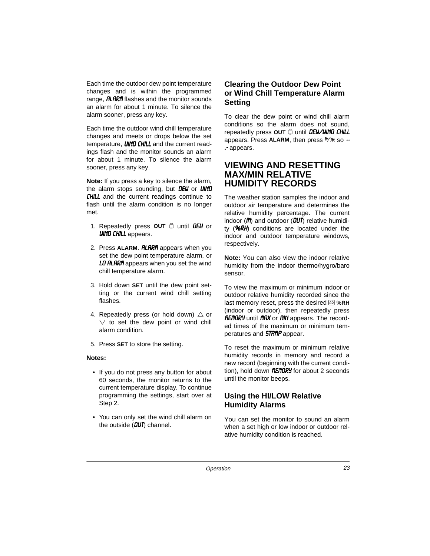Each time the outdoor dew point temperature changes and is within the programmed range, **RLRRIT** flashes and the monitor sounds an alarm for about 1 minute. To silence the alarm sooner, press any key.

Each time the outdoor wind chill temperature changes and meets or drops below the set temperature, **WIND CHILL** and the current readings flash and the monitor sounds an alarm for about 1 minute. To silence the alarm sooner, press any key.

**Note:** If you press a key to silence the alarm, the alarm stops sounding, but  $DEU$  or  $UIND$ **CHILL** and the current readings continue to flash until the alarm condition is no longer met.

- 1. Repeatedly press **OUT** in until **DEU** or **UIND CHILL** appears.
- 2. Press **ALARM. RLARM** appears when you set the dew point temperature alarm, or LO RLARM appears when you set the wind chill temperature alarm.
- 3. Hold down **SET** until the dew point setting or the current wind chill setting flashes.
- 4. Repeatedly press (or hold down)  $\triangle$  or  $\triangledown$  to set the dew point or wind chill alarm condition.
- 5. Press **SET** to store the setting.

#### **Notes:**

- If you do not press any button for about 60 seconds, the monitor returns to the current temperature display. To continue programming the settings, start over at Step 2.
- You can only set the wind chill alarm on the outside  $(DUT)$  channel.

## **Clearing the Outdoor Dew Point or Wind Chill Temperature Alarm Setting**

To clear the dew point or wind chill alarm conditions so the alarm does not sound, repeatedly press OUT in until **DEU/UIND CHILL** appears. Press ALARM, then press  $\frac{1}{2}$  so --.- appears.

# **VIEWING AND RESETTING MAX/MIN RELATIVE HUMIDITY RECORDS**

The weather station samples the indoor and outdoor air temperature and determines the relative humidity percentage. The current indoor ( $\mathbf{l}$ ) and outdoor ( $\mathbf{l}$  $\mathbf{l}$ ) relative humidity ( $96RH$ ) conditions are located under the indoor and outdoor temperature windows, respectively.

**Note:** You can also view the indoor relative humidity from the indoor thermo/hygro/baro sensor.

To view the maximum or minimum indoor or outdoor relative humidity recorded since the last memory reset, press the desired **%RH** (indoor or outdoor), then repeatedly press *NENDRY* until *NRX* or *NIN* appears. The recorded times of the maximum or minimum temperatures and **5TRMP** appear.

To reset the maximum or minimum relative humidity records in memory and record a new record (beginning with the current condition), hold down  $f\rightarrow{0}F\rightarrow{0}F\rightarrow{0}F\rightarrow{0}F\rightarrow{0}F\rightarrow{0}F\rightarrow{0}F\rightarrow{0}F\rightarrow{0}F\rightarrow{0}F\rightarrow{0}F\rightarrow{0}F\rightarrow{0}F\rightarrow{0}F\rightarrow{0}F\rightarrow{0}F\rightarrow{0}F\rightarrow{0}F\rightarrow{0}F\rightarrow{0}F\rightarrow{0}F\rightarrow{0}F\rightarrow{0}F\rightarrow{0}F\rightarrow{0}F\rightarrow{0}F\rightarrow{0}F\rightarrow{0}F\rightarrow{0}F\rightarrow{0}F\rightarrow{0}F\rightarrow{0}F\rightarrow{0}F\rightarrow{0$ until the monitor beeps.

## **Using the HI/LOW Relative Humidity Alarms**

You can set the monitor to sound an alarm when a set high or low indoor or outdoor relative humidity condition is reached.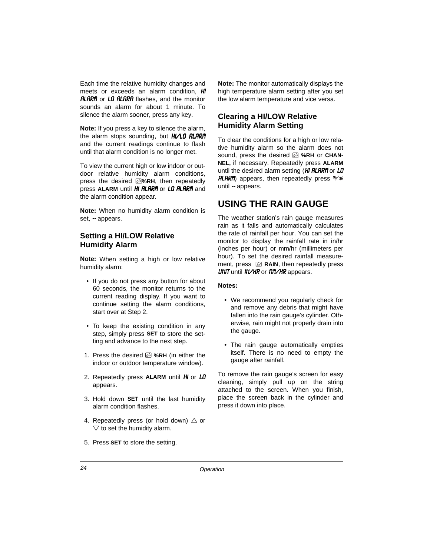Each time the relative humidity changes and meets or exceeds an alarm condition.  $H$ **RLRRIT** or LO RLARIT flashes, and the monitor sounds an alarm for about 1 minute. To silence the alarm sooner, press any key.

**Note:** If you press a key to silence the alarm, the alarm stops sounding, but  $H/LO$   $HLRP$ and the current readings continue to flash until that alarm condition is no longer met.

To view the current high or low indoor or outdoor relative humidity alarm conditions, press the desired **%RH**, then repeatedly press ALARM until *HI RLRRI*I or *LO RLRRI*I and the alarm condition appear.

**Note:** When no humidity alarm condition is set, - appears.

#### **Setting a HI/LOW Relative Humidity Alarm**

**Note:** When setting a high or low relative humidity alarm:

- If you do not press any button for about 60 seconds, the monitor returns to the current reading display. If you want to continue setting the alarm conditions, start over at Step 2.
- To keep the existing condition in any step, simply press **SET** to store the setting and advance to the next step.
- 1. Press the desired **%RH** (in either the indoor or outdoor temperature window).
- 2. Repeatedly press ALARM until *HI* or *LD* appears.
- 3. Hold down **SET** until the last humidity alarm condition flashes.
- 4. Repeatedly press (or hold down)  $\triangle$  or  $\triangledown$  to set the humidity alarm.

**Note:** The monitor automatically displays the high temperature alarm setting after you set the low alarm temperature and vice versa.

## **Clearing a HI/LOW Relative Humidity Alarm Setting**

To clear the conditions for a high or low relative humidity alarm so the alarm does not sound, press the desired **%RH** or **CHAN-NEL,** if necessary. Repeatedly press **ALARM** until the desired alarm setting ( $H\ell$  RLARM or LD  $HLRR$ ) appears, then repeatedly press  $\mathbb{R}$ until  $-$  appears.

# **USING THE RAIN GAUGE**

The weather station's rain gauge measures rain as it falls and automatically calculates the rate of rainfall per hour. You can set the monitor to display the rainfall rate in in/hr (inches per hour) or mm/hr (millimeters per hour). To set the desired rainfall measurement, press  $\mathcal{D}$  RAIN, then repeatedly press UNIT until IN/HR or *PIP/HR* appears.

#### **Notes:**

- We recommend you regularly check for and remove any debris that might have fallen into the rain gauge's cylinder. Otherwise, rain might not properly drain into the gauge.
- The rain gauge automatically empties itself. There is no need to empty the gauge after rainfall.

To remove the rain gauge's screen for easy cleaning, simply pull up on the string attached to the screen. When you finish, place the screen back in the cylinder and press it down into place.

5. Press **SET** to store the setting.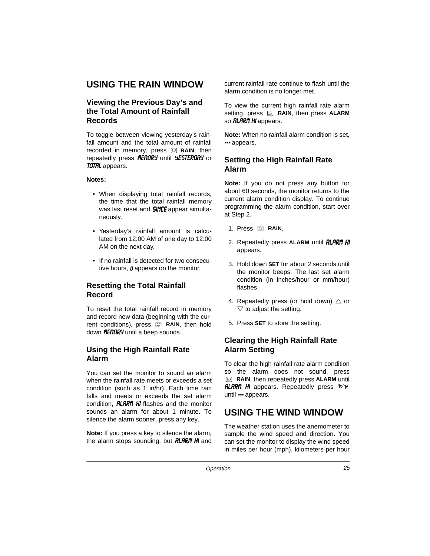# **USING THE RAIN WINDOW**

## **Viewing the Previous Day's and the Total Amount of Rainfall Records**

To toggle between viewing yesterday's rainfall amount and the total amount of rainfall recorded in memory, press **RAIN**, then repeatedly press *fIEFIDRY* until YESTERDRY or **TOTAL** appears.

#### **Notes:**

- When displaying total rainfall records, the time that the total rainfall memory was last reset and **SINCE** appear simultaneously.
- Yesterday's rainfall amount is calculated from 12:00 AM of one day to 12:00 AM on the next day.
- If no rainfall is detected for two consecutive hours,  $\boldsymbol{\theta}$  appears on the monitor.

## **Resetting the Total Rainfall Record**

To reset the total rainfall record in memory and record new data (beginning with the current conditions), press **Q** RAIN, then hold down *fIEFIORY* until a beep sounds.

#### **Using the High Rainfall Rate Alarm**

You can set the monitor to sound an alarm when the rainfall rate meets or exceeds a set condition (such as 1 in/hr). Each time rain falls and meets or exceeds the set alarm condition,  $\theta$ *LRRM*  $H$  flashes and the monitor sounds an alarm for about 1 minute. To silence the alarm sooner, press any key.

**Note:** If you press a key to silence the alarm, the alarm stops sounding, but  $\theta$ **LARM**  $H$  and

current rainfall rate continue to flash until the alarm condition is no longer met.

To view the current high rainfall rate alarm setting, press **Q** RAIN, then press ALARM so **RLARM** HI appears.

**Note:** When no rainfall alarm condition is set, --- appears.

#### **Setting the High Rainfall Rate Alarm**

**Note:** If you do not press any button for about 60 seconds, the monitor returns to the current alarm condition display. To continue programming the alarm condition, start over at Step 2.

- 1. Press **<b>RAIN**.
- 2. Repeatedly press ALARM until **RLRRfl HI** appears.
- 3. Hold down **SET** for about 2 seconds until the monitor beeps. The last set alarm condition (in inches/hour or mm/hour) flashes.
- 4. Repeatedly press (or hold down)  $\triangle$  or  $\triangledown$  to adjust the setting.
- 5. Press **SET** to store the setting.

## **Clearing the High Rainfall Rate Alarm Setting**

To clear the high rainfall rate alarm condition so the alarm does not sound, press **RAIN**, then repeatedly press **ALARM** until **RLARM HI** appears. Repeatedly press  $\forall$ **\*** until --- appears.

# **USING THE WIND WINDOW**

The weather station uses the anemometer to sample the wind speed and direction. You can set the monitor to display the wind speed in miles per hour (mph), kilometers per hour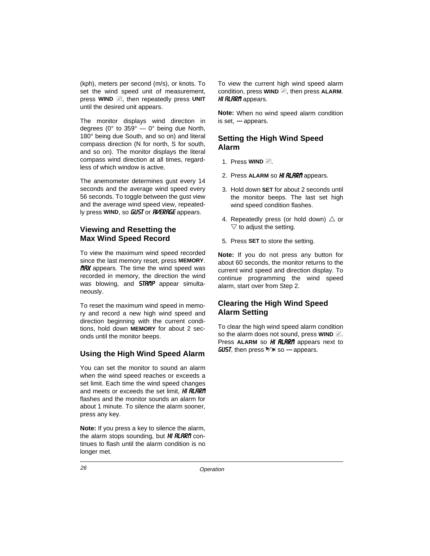(kph), meters per second (m/s), or knots. To set the wind speed unit of measurement, press **WIND**  $\mathcal{D}$ , then repeatedly press UNIT until the desired unit appears.

The monitor displays wind direction in degrees ( $0^\circ$  to  $359^\circ - 0^\circ$  being due North, 180° being due South, and so on) and literal compass direction (N for north, S for south, and so on). The monitor displays the literal compass wind direction at all times, regardless of which window is active.

The anemometer determines gust every 14 seconds and the average wind speed every 56 seconds. To toggle between the gust view and the average wind speed view, repeatedly press **WIND**, so **GUST** or **RVERRGE** appears.

#### **Viewing and Resetting the Max Wind Speed Record**

To view the maximum wind speed recorded since the last memory reset, press **MEMORY**. **nRX** appears. The time the wind speed was recorded in memory, the direction the wind was blowing, and  $STR$ <sup>n</sup> appear simultaneously.

To reset the maximum wind speed in memory and record a new high wind speed and direction beginning with the current conditions, hold down **MEMORY** for about 2 seconds until the monitor beeps.

#### **Using the High Wind Speed Alarm**

You can set the monitor to sound an alarm when the wind speed reaches or exceeds a set limit. Each time the wind speed changes and meets or exceeds the set limit, HI RLARM flashes and the monitor sounds an alarm for about 1 minute. To silence the alarm sooner, press any key.

**Note:** If you press a key to silence the alarm, the alarm stops sounding, but  $H$  **RLARM** continues to flash until the alarm condition is no longer met.

To view the current high wind speed alarm condition, press **WIND**  $\mathcal{D}$ , then press **ALARM**. **HI RLARM** appears.

**Note:** When no wind speed alarm condition is set, --- appears.

#### **Setting the High Wind Speed Alarm**

- 1. Press **WIND** 2.
- 2. Press **ALARM** so HI RLARM appears.
- 3. Hold down **SET** for about 2 seconds until the monitor beeps. The last set high wind speed condition flashes.
- 4. Repeatedly press (or hold down)  $\triangle$  or  $\triangledown$  to adjust the setting.
- 5. Press **SET** to store the setting.

**Note:** If you do not press any button for about 60 seconds, the monitor returns to the current wind speed and direction display. To continue programming the wind speed alarm, start over from Step 2.

## **Clearing the High Wind Speed Alarm Setting**

To clear the high wind speed alarm condition so the alarm does not sound, press **WIND**  $\mathbb{Z}$ . Press ALARM so HI RLARM appears next to **GUST, then press**  $\mathbb{R}^n \times$  **so --- appears.**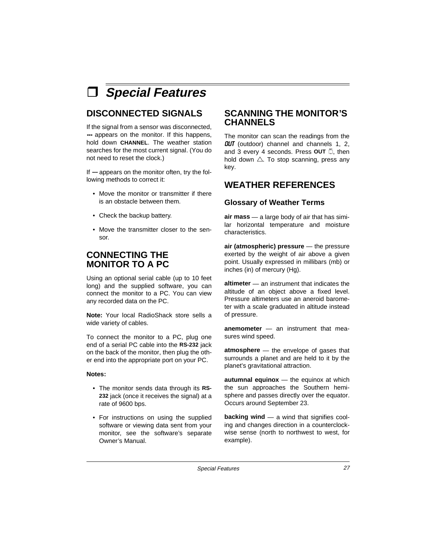à **Special Features**

# **DISCONNECTED SIGNALS**

If the signal from a sensor was disconnected, --- appears on the monitor. If this happens, hold down **CHANNEL**. The weather station searches for the most current signal. (You do not need to reset the clock.)

If  $-$  appears on the monitor often, try the following methods to correct it:

- Move the monitor or transmitter if there is an obstacle between them.
- Check the backup battery.
- Move the transmitter closer to the sensor.

# **CONNECTING THE MONITOR TO A PC**

Using an optional serial cable (up to 10 feet long) and the supplied software, you can connect the monitor to a PC. You can view any recorded data on the PC.

**Note:** Your local RadioShack store sells a wide variety of cables.

To connect the monitor to a PC, plug one end of a serial PC cable into the **RS-232** jack on the back of the monitor, then plug the other end into the appropriate port on your PC.

#### **Notes:**

- The monitor sends data through its **RS-232** jack (once it receives the signal) at a rate of 9600 bps.
- For instructions on using the supplied software or viewing data sent from your monitor, see the software's separate Owner's Manual.

## **SCANNING THE MONITOR'S CHANNELS**

The monitor can scan the readings from the **OUT** (outdoor) channel and channels 1, 2, and 3 every 4 seconds. Press OUT . then hold down  $\triangle$ . To stop scanning, press any key.

# **WEATHER REFERENCES**

#### **Glossary of Weather Terms**

**air mass** — a large body of air that has similar horizontal temperature and moisture characteristics.

**air (atmospheric) pressure** — the pressure exerted by the weight of air above a given point. Usually expressed in millibars (mb) or inches (in) of mercury (Hg).

**altimeter** — an instrument that indicates the altitude of an object above a fixed level. Pressure altimeters use an aneroid barometer with a scale graduated in altitude instead of pressure.

**anemometer** — an instrument that measures wind speed.

**atmosphere** — the envelope of gases that surrounds a planet and are held to it by the planet's gravitational attraction.

**autumnal equinox** — the equinox at which the sun approaches the Southern hemisphere and passes directly over the equator. Occurs around September 23.

**backing wind** — a wind that signifies cooling and changes direction in a counterclockwise sense (north to northwest to west, for example).

Special Features 27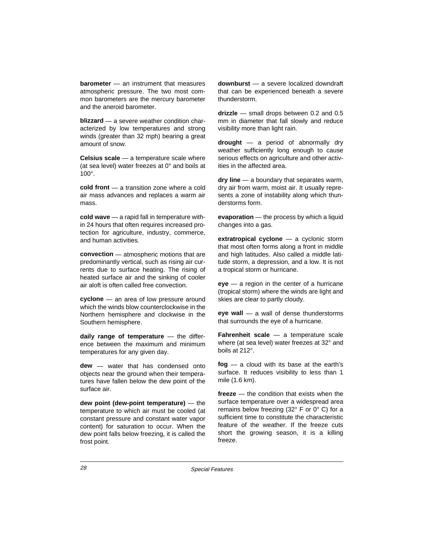**barometer** — an instrument that measures atmospheric pressure. The two most common barometers are the mercury barometer and the aneroid barometer.

**blizzard** — a severe weather condition characterized by low temperatures and strong winds (greater than 32 mph) bearing a great amount of snow.

**Celsius scale** — a temperature scale where (at sea level) water freezes at 0° and boils at 100°.

**cold front** — a transition zone where a cold air mass advances and replaces a warm air mass.

**cold wave** — a rapid fall in temperature within 24 hours that often requires increased protection for agriculture, industry, commerce, and human activities.

**convection** — atmospheric motions that are predominantly vertical, such as rising air currents due to surface heating. The rising of heated surface air and the sinking of cooler air aloft is often called free convection.

**cyclone** — an area of low pressure around which the winds blow counterclockwise in the Northern hemisphere and clockwise in the Southern hemisphere.

**daily range of temperature** — the difference between the maximum and minimum temperatures for any given day.

**dew** — water that has condensed onto objects near the ground when their temperatures have fallen below the dew point of the surface air.

**dew point (dew-point temperature)** — the temperature to which air must be cooled (at constant pressure and constant water vapor content) for saturation to occur. When the dew point falls below freezing, it is called the frost point.

**downburst** — a severe localized downdraft that can be experienced beneath a severe thunderstorm.

**drizzle** — small drops between 0.2 and 0.5 mm in diameter that fall slowly and reduce visibility more than light rain.

**drought** — a period of abnormally dry weather sufficiently long enough to cause serious effects on agriculture and other activities in the affected area.

**dry line** — a boundary that separates warm, dry air from warm, moist air. It usually represents a zone of instability along which thunderstorms form.

**evaporation** — the process by which a liquid changes into a gas.

**extratropical cyclone** — a cyclonic storm that most often forms along a front in middle and high latitudes. Also called a middle latitude storm, a depression, and a low. It is not a tropical storm or hurricane.

**eye** — a region in the center of a hurricane (tropical storm) where the winds are light and skies are clear to partly cloudy.

**eye wall** — a wall of dense thunderstorms that surrounds the eye of a hurricane.

**Fahrenheit scale** — a temperature scale where (at sea level) water freezes at 32° and boils at 212°.

**fog** — a cloud with its base at the earth's surface. It reduces visibility to less than 1 mile (1.6 km).

**freeze** — the condition that exists when the surface temperature over a widespread area remains below freezing (32° F or 0° C) for a sufficient time to constitute the characteristic feature of the weather. If the freeze cuts short the growing season, it is a killing freeze.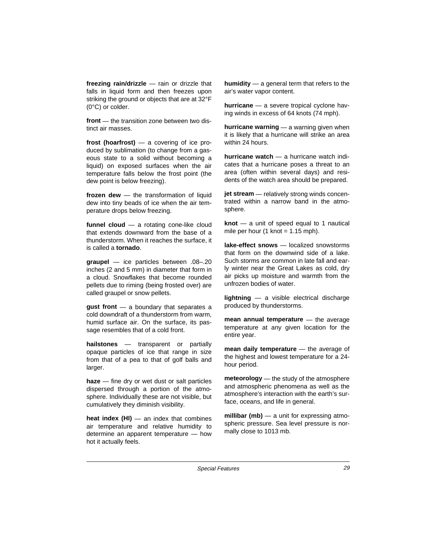**freezing rain/drizzle** — rain or drizzle that falls in liquid form and then freezes upon striking the ground or objects that are at 32°F (0°C) or colder.

**front** — the transition zone between two distinct air masses.

**frost (hoarfrost)** — a covering of ice produced by sublimation (to change from a gaseous state to a solid without becoming a liquid) on exposed surfaces when the air temperature falls below the frost point (the dew point is below freezing).

**frozen dew** — the transformation of liquid dew into tiny beads of ice when the air temperature drops below freezing.

**funnel cloud** — a rotating cone-like cloud that extends downward from the base of a thunderstorm. When it reaches the surface, it is called a **tornado**.

**graupel** — ice particles between .08–.20 inches (2 and 5 mm) in diameter that form in a cloud. Snowflakes that become rounded pellets due to riming (being frosted over) are called graupel or snow pellets.

**gust front** — a boundary that separates a cold downdraft of a thunderstorm from warm, humid surface air. On the surface, its passage resembles that of a cold front.

**hailstones** — transparent or partially opaque particles of ice that range in size from that of a pea to that of golf balls and larger.

**haze** — fine dry or wet dust or salt particles dispersed through a portion of the atmosphere. Individually these are not visible, but cumulatively they diminish visibility.

**heat index (HI)** — an index that combines air temperature and relative humidity to determine an apparent temperature — how hot it actually feels.

**humidity** — a general term that refers to the air's water vapor content.

**hurricane** — a severe tropical cyclone having winds in excess of 64 knots (74 mph).

**hurricane warning** — a warning given when it is likely that a hurricane will strike an area within 24 hours.

**hurricane watch** — a hurricane watch indicates that a hurricane poses a threat to an area (often within several days) and residents of the watch area should be prepared.

**jet stream** — relatively strong winds concentrated within a narrow band in the atmosphere.

**knot** — a unit of speed equal to 1 nautical mile per hour (1 knot =  $1.15$  mph).

**lake-effect snows** — localized snowstorms that form on the downwind side of a lake. Such storms are common in late fall and early winter near the Great Lakes as cold, dry air picks up moisture and warmth from the unfrozen bodies of water.

**lightning** — a visible electrical discharge produced by thunderstorms.

**mean annual temperature** — the average temperature at any given location for the entire year.

**mean daily temperature** — the average of the highest and lowest temperature for a 24 hour period.

**meteorology** — the study of the atmosphere and atmospheric phenomena as well as the atmosphere's interaction with the earth's surface, oceans, and life in general.

**millibar (mb)** — a unit for expressing atmospheric pressure. Sea level pressure is normally close to 1013 mb.

Special Features 29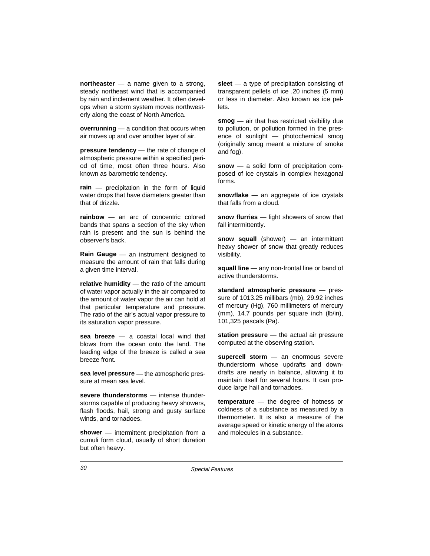**northeaster** — a name given to a strong, steady northeast wind that is accompanied by rain and inclement weather. It often develops when a storm system moves northwesterly along the coast of North America.

**overrunning** — a condition that occurs when air moves up and over another layer of air.

**pressure tendency** — the rate of change of atmospheric pressure within a specified period of time, most often three hours. Also known as barometric tendency.

**rain** — precipitation in the form of liquid water drops that have diameters greater than that of drizzle.

**rainbow** — an arc of concentric colored bands that spans a section of the sky when rain is present and the sun is behind the observer's back.

**Rain Gauge** — an instrument designed to measure the amount of rain that falls during a given time interval.

**relative humidity** — the ratio of the amount of water vapor actually in the air compared to the amount of water vapor the air can hold at that particular temperature and pressure. The ratio of the air's actual vapor pressure to its saturation vapor pressure.

**sea breeze** — a coastal local wind that blows from the ocean onto the land. The leading edge of the breeze is called a sea breeze front.

**sea level pressure** — the atmospheric pressure at mean sea level.

**severe thunderstorms** — intense thunderstorms capable of producing heavy showers, flash floods, hail, strong and gusty surface winds, and tornadoes.

**shower** — intermittent precipitation from a cumuli form cloud, usually of short duration but often heavy.

**sleet** — a type of precipitation consisting of transparent pellets of ice .20 inches (5 mm) or less in diameter. Also known as ice pellets.

**smog** — air that has restricted visibility due to pollution, or pollution formed in the presence of sunlight — photochemical smog (originally smog meant a mixture of smoke and fog).

**snow** — a solid form of precipitation composed of ice crystals in complex hexagonal forms.

**snowflake** — an aggregate of ice crystals that falls from a cloud.

**snow flurries** — light showers of snow that fall intermittently.

**snow squall** (shower) — an intermittent heavy shower of snow that greatly reduces visibility.

**squall line** — any non-frontal line or band of active thunderstorms.

**standard atmospheric pressure** — pressure of 1013.25 millibars (mb), 29.92 inches of mercury (Hg), 760 millimeters of mercury (mm), 14.7 pounds per square inch (lb/in), 101,325 pascals (Pa).

**station pressure** — the actual air pressure computed at the observing station.

**supercell storm** — an enormous severe thunderstorm whose updrafts and downdrafts are nearly in balance, allowing it to maintain itself for several hours. It can produce large hail and tornadoes.

**temperature** — the degree of hotness or coldness of a substance as measured by a thermometer. It is also a measure of the average speed or kinetic energy of the atoms and molecules in a substance.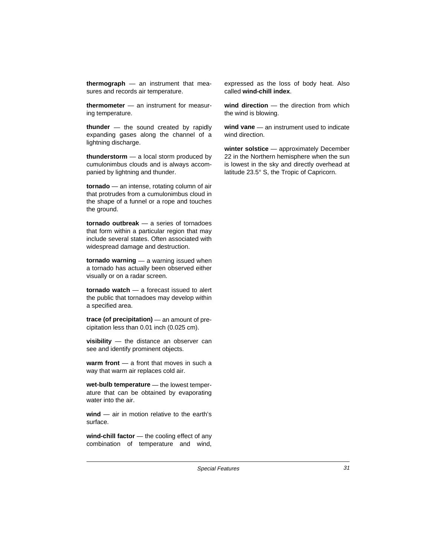**thermograph** — an instrument that measures and records air temperature.

**thermometer** — an instrument for measuring temperature.

**thunder** — the sound created by rapidly expanding gases along the channel of a lightning discharge.

**thunderstorm** — a local storm produced by cumulonimbus clouds and is always accompanied by lightning and thunder.

**tornado** — an intense, rotating column of air that protrudes from a cumulonimbus cloud in the shape of a funnel or a rope and touches the ground.

**tornado outbreak** — a series of tornadoes that form within a particular region that may include several states. Often associated with widespread damage and destruction.

**tornado warning** — a warning issued when a tornado has actually been observed either visually or on a radar screen.

**tornado watch** — a forecast issued to alert the public that tornadoes may develop within a specified area.

**trace (of precipitation)** — an amount of precipitation less than 0.01 inch (0.025 cm).

**visibility** — the distance an observer can see and identify prominent objects.

**warm front** — a front that moves in such a way that warm air replaces cold air.

**wet-bulb temperature** — the lowest temperature that can be obtained by evaporating water into the air.

**wind** — air in motion relative to the earth's surface.

**wind-chill factor** — the cooling effect of any combination of temperature and wind,

expressed as the loss of body heat. Also called **wind-chill index**.

**wind direction** — the direction from which the wind is blowing.

**wind vane** — an instrument used to indicate wind direction.

**winter solstice** — approximately December 22 in the Northern hemisphere when the sun is lowest in the sky and directly overhead at latitude 23.5° S, the Tropic of Capricorn.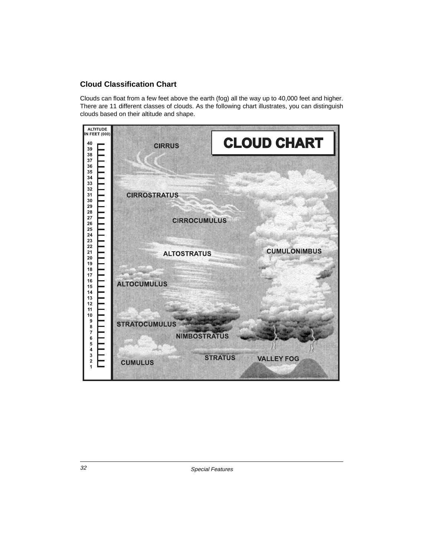## **Cloud Classification Chart**

Clouds can float from a few feet above the earth (fog) all the way up to 40,000 feet and higher. There are 11 different classes of clouds. As the following chart illustrates, you can distinguish clouds based on their altitude and shape.

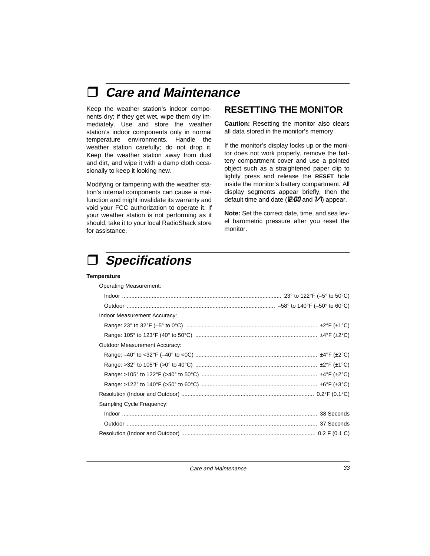# à **Care and Maintenance**

Keep the weather station's indoor components dry; if they get wet, wipe them dry immediately. Use and store the weather station's indoor components only in normal temperature environments. Handle the weather station carefully; do not drop it. Keep the weather station away from dust and dirt, and wipe it with a damp cloth occasionally to keep it looking new.

Modifying or tampering with the weather station's internal components can cause a malfunction and might invalidate its warranty and void your FCC authorization to operate it. If your weather station is not performing as it should, take it to your local RadioShack store for assistance.

## **RESETTING THE MONITOR**

**Caution:** Resetting the monitor also clears all data stored in the monitor's memory.

If the monitor's display locks up or the monitor does not work properly, remove the battery compartment cover and use a pointed object such as a straightened paper clip to lightly press and release the **RESET** hole inside the monitor's battery compartment. All display segments appear briefly, then the default time and date ( $2.00$  and  $1/1$ ) appear.

**Note:** Set the correct date, time, and sea level barometric pressure after you reset the monitor.



#### **Temperature**

| <b>Operating Measurement:</b> |  |
|-------------------------------|--|
|                               |  |
|                               |  |
| Indoor Measurement Accuracy:  |  |
|                               |  |
|                               |  |
| Outdoor Measurement Accuracy: |  |
|                               |  |
|                               |  |
|                               |  |
|                               |  |
|                               |  |
| Sampling Cycle Frequency:     |  |
|                               |  |
|                               |  |
|                               |  |

Care and Maintenance 33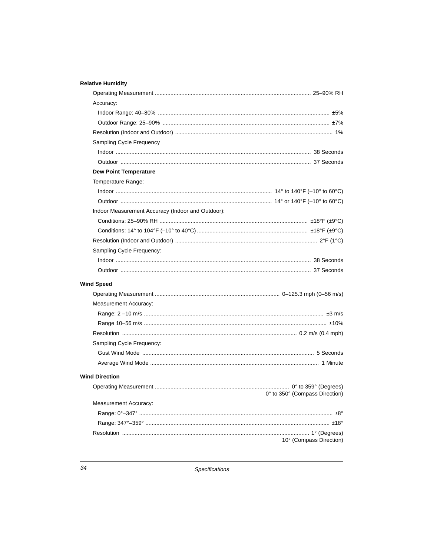#### **Relative Humidity**

| Accuracy:                                         |                                |
|---------------------------------------------------|--------------------------------|
|                                                   |                                |
|                                                   |                                |
|                                                   |                                |
| <b>Sampling Cycle Frequency</b>                   |                                |
|                                                   |                                |
|                                                   |                                |
| <b>Dew Point Temperature</b>                      |                                |
| Temperature Range:                                |                                |
|                                                   |                                |
|                                                   |                                |
| Indoor Measurement Accuracy (Indoor and Outdoor): |                                |
|                                                   |                                |
|                                                   |                                |
|                                                   |                                |
| Sampling Cycle Frequency:                         |                                |
|                                                   |                                |
|                                                   |                                |
| <b>Wind Speed</b>                                 |                                |
|                                                   |                                |
| <b>Measurement Accuracy:</b>                      |                                |
|                                                   |                                |
|                                                   |                                |
|                                                   |                                |
| Sampling Cycle Frequency:                         |                                |
|                                                   |                                |
|                                                   |                                |
| <b>Wind Direction</b>                             |                                |
|                                                   |                                |
|                                                   | 0° to 350° (Compass Direction) |
| <b>Measurement Accuracy:</b>                      |                                |
|                                                   |                                |
|                                                   |                                |
|                                                   |                                |
|                                                   | 10° (Compass Direction)        |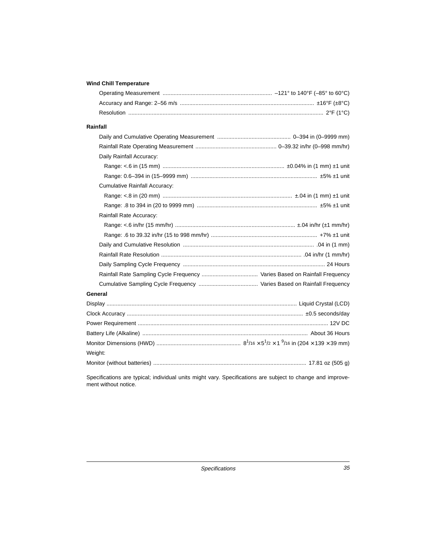#### **Wind Chill Temperature**

| Rainfall                             |  |
|--------------------------------------|--|
|                                      |  |
|                                      |  |
| Daily Rainfall Accuracy:             |  |
|                                      |  |
|                                      |  |
| <b>Cumulative Rainfall Accuracy:</b> |  |
|                                      |  |
|                                      |  |
| Rainfall Rate Accuracy:              |  |
|                                      |  |
|                                      |  |
|                                      |  |
|                                      |  |
|                                      |  |
|                                      |  |
|                                      |  |
| General                              |  |
|                                      |  |
|                                      |  |
|                                      |  |
|                                      |  |
|                                      |  |
| Weight:                              |  |
|                                      |  |
|                                      |  |

Specifications are typical; individual units might vary. Specifications are subject to change and improvement without notice.